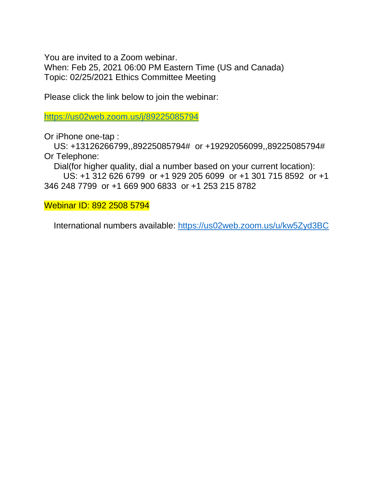You are invited to a Zoom webinar.

When: Feb 25, 2021 06:00 PM Eastern Time (US and Canada) Topic: 02/25/2021 Ethics Committee Meeting

Please click the link below to join the webinar:

<https://us02web.zoom.us/j/89225085794>

Or iPhone one-tap :

 US: +13126266799,,89225085794# or +19292056099,,89225085794# Or Telephone:

Dial(for higher quality, dial a number based on your current location):

 US: +1 312 626 6799 or +1 929 205 6099 or +1 301 715 8592 or +1 346 248 7799 or +1 669 900 6833 or +1 253 215 8782

Webinar ID: 892 2508 5794

International numbers available:<https://us02web.zoom.us/u/kw5Zyd3BC>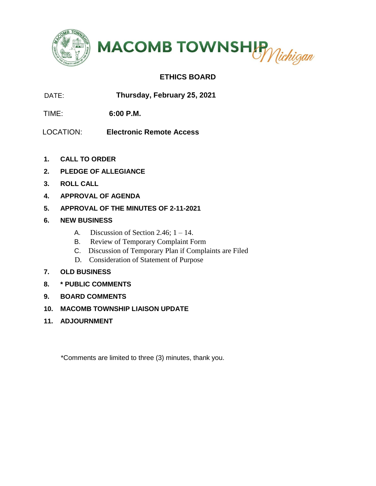



## **ETHICS BOARD**

DATE: **Thursday, February 25, 2021** 

TIME: **6:00 P.M.**

LOCATION: **Electronic Remote Access** 

- **1. CALL TO ORDER**
- **2. PLEDGE OF ALLEGIANCE**
- **3. ROLL CALL**
- **4. APPROVAL OF AGENDA**
- **5. APPROVAL OF THE MINUTES OF 2-11-2021**
- **6. NEW BUSINESS**
	- A. Discussion of Section 2.46;  $1 14$ .
	- B. Review of Temporary Complaint Form
	- C. Discussion of Temporary Plan if Complaints are Filed
	- D. Consideration of Statement of Purpose
- **7. OLD BUSINESS**
- **8. \* PUBLIC COMMENTS**
- **9. BOARD COMMENTS**
- **10. MACOMB TOWNSHIP LIAISON UPDATE**
- **11. ADJOURNMENT**

\*Comments are limited to three (3) minutes, thank you.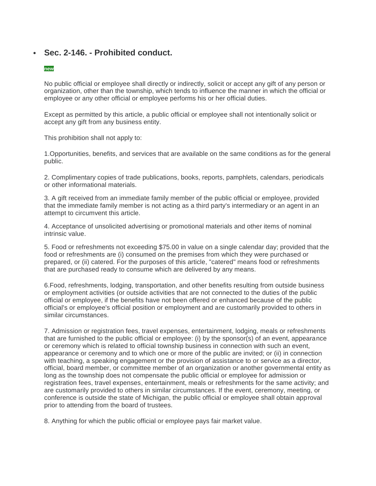## • **Sec. 2-146. - Prohibited conduct.**

#### **new**

No public official or employee shall directly or indirectly, solicit or accept any gift of any person or organization, other than the township, which tends to influence the manner in which the official or employee or any other official or employee performs his or her official duties.

Except as permitted by this article, a public official or employee shall not intentionally solicit or accept any gift from any business entity.

This prohibition shall not apply to:

1.Opportunities, benefits, and services that are available on the same conditions as for the general public.

2. Complimentary copies of trade publications, books, reports, pamphlets, calendars, periodicals or other informational materials.

3. A gift received from an immediate family member of the public official or employee, provided that the immediate family member is not acting as a third party's intermediary or an agent in an attempt to circumvent this article.

4. Acceptance of unsolicited advertising or promotional materials and other items of nominal intrinsic value.

5. Food or refreshments not exceeding \$75.00 in value on a single calendar day; provided that the food or refreshments are (i) consumed on the premises from which they were purchased or prepared, or (ii) catered. For the purposes of this article, "catered" means food or refreshments that are purchased ready to consume which are delivered by any means.

6.Food, refreshments, lodging, transportation, and other benefits resulting from outside business or employment activities (or outside activities that are not connected to the duties of the public official or employee, if the benefits have not been offered or enhanced because of the public official's or employee's official position or employment and are customarily provided to others in similar circumstances.

7. Admission or registration fees, travel expenses, entertainment, lodging, meals or refreshments that are furnished to the public official or employee: (i) by the sponsor(s) of an event, appearance or ceremony which is related to official township business in connection with such an event, appearance or ceremony and to which one or more of the public are invited; or (ii) in connection with teaching, a speaking engagement or the provision of assistance to or service as a director, official, board member, or committee member of an organization or another governmental entity as long as the township does not compensate the public official or employee for admission or registration fees, travel expenses, entertainment, meals or refreshments for the same activity; and are customarily provided to others in similar circumstances. If the event, ceremony, meeting, or conference is outside the state of Michigan, the public official or employee shall obtain approval prior to attending from the board of trustees.

8. Anything for which the public official or employee pays fair market value.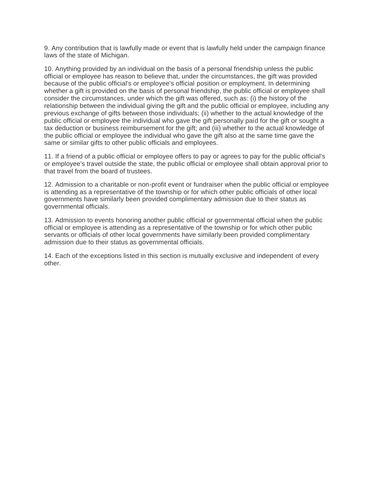9. Any contribution that is lawfully made or event that is lawfully held under the campaign finance laws of the state of Michigan.

10. Anything provided by an individual on the basis of a personal friendship unless the public official or employee has reason to believe that, under the circumstances, the gift was provided because of the public official's or employee's official position or employment. In determining whether a gift is provided on the basis of personal friendship, the public official or employee shall consider the circumstances, under which the gift was offered, such as: (i) the history of the relationship between the individual giving the gift and the public official or employee, including any previous exchange of gifts between those individuals; (ii) whether to the actual knowledge of the public official or employee the individual who gave the gift personally paid for the gift or sought a tax deduction or business reimbursement for the gift; and (iii) whether to the actual knowledge of the public official or employee the individual who gave the gift also at the same time gave the same or similar gifts to other public officials and employees.

11. If a friend of a public official or employee offers to pay or agrees to pay for the public official's or employee's travel outside the state, the public official or employee shall obtain approval prior to that travel from the board of trustees.

12. Admission to a charitable or non-profit event or fundraiser when the public official or employee is attending as a representative of the township or for which other public officials of other local governments have similarly been provided complimentary admission due to their status as governmental officials.

13. Admission to events honoring another public official or governmental official when the public official or employee is attending as a representative of the township or for which other public servants or officials of other local governments have similarly been provided complimentary admission due to their status as governmental officials.

14. Each of the exceptions listed in this section is mutually exclusive and independent of every other.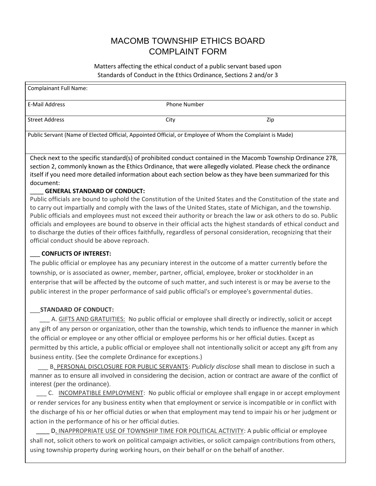# MACOMB TOWNSHIP ETHICS BOARD COMPLAINT FORM

Matters affecting the ethical conduct of a public servant based upon Standards of Conduct in the Ethics Ordinance, Sections 2 and/or 3

| <b>Complainant Full Name:</b>                                                                            |                     |     |  |
|----------------------------------------------------------------------------------------------------------|---------------------|-----|--|
| E-Mail Address                                                                                           | <b>Phone Number</b> |     |  |
| Street Address                                                                                           | City                | Zip |  |
| Public Servant (Name of Elected Official, Appointed Official, or Employee of Whom the Complaint is Made) |                     |     |  |

Check next to the specific standard(s) of prohibited conduct contained in the Macomb Township Ordinance 278, section 2, commonly known as the Ethics Ordinance, that were allegedly violated. Please check the ordinance itself if you need more detailed information about each section below as they have been summarized for this document:

#### \_\_\_\_ **GENERAL STANDARD OF CONDUCT:**

Public officials are bound to uphold the Constitution of the United States and the Constitution of the state and to carry out impartially and comply with the laws of the United States, state of Michigan, and the township. Public officials and employees must not exceed their authority or breach the law or ask others to do so. Public officials and employees are bound to observe in their official acts the highest standards of ethical conduct and to discharge the duties of their offices faithfully, regardless of personal consideration, recognizing that their official conduct should be above reproach.

### \_\_\_ **CONFLICTS OF INTEREST:**

The public official or employee has any pecuniary interest in the outcome of a matter currently before the township, or is associated as owner, member, partner, official, employee, broker or stockholder in an enterprise that will be affected by the outcome of such matter, and such interest is or may be averse to the public interest in the proper performance of said public official's or employee's governmental duties.

### \_\_\_**STANDARD OF CONDUCT:**

 \_\_\_ A. GIFTS AND GRATUITIES: No public official or employee shall directly or indirectly, solicit or accept any gift of any person or organization, other than the township, which tends to influence the manner in which the official or employee or any other official or employee performs his or her official duties. Except as permitted by this article, a public official or employee shall not intentionally solicit or accept any gift from any business entity. (See the complete Ordinance for exceptions.)

 \_\_\_ B. PERSONAL DISCLOSURE FOR PUBLIC SERVANTS: *Publicly disclose* shall mean to disclose in such a manner as to ensure all involved in considering the decision, action or contract are aware of the conflict of interest (per the ordinance).

 \_\_\_ C. INCOMPATIBLE EMPLOYMENT: No public official or employee shall engage in or accept employment or render services for any business entity when that employment or service is incompatible or in conflict with the discharge of his or her official duties or when that employment may tend to impair his or her judgment or action in the performance of his or her official duties.

D. INAPPROPRIATE USE OF TOWNSHIP TIME FOR POLITICAL ACTIVITY: A public official or employee shall not, solicit others to work on political campaign activities, or solicit campaign contributions from others, using township property during working hours, on their behalf or on the behalf of another.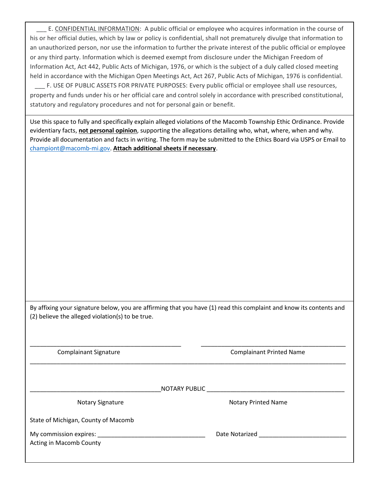E. CONFIDENTIAL INFORMATION: A public official or employee who acquires information in the course of his or her official duties, which by law or policy is confidential, shall not prematurely divulge that information to an unauthorized person, nor use the information to further the private interest of the public official or employee or any third party. Information which is deemed exempt from disclosure under the Michigan Freedom of Information Act, Act 442, Public Acts of Michigan, 1976, or which is the subject of a duly called closed meeting held in accordance with the Michigan Open Meetings Act, Act 267, Public Acts of Michigan, 1976 is confidential.

 \_\_\_ F. USE OF PUBLIC ASSETS FOR PRIVATE PURPOSES: Every public official or employee shall use resources, property and funds under his or her official care and control solely in accordance with prescribed constitutional, statutory and regulatory procedures and not for personal gain or benefit.

Use this space to fully and specifically explain alleged violations of the Macomb Township Ethic Ordinance. Provide evidentiary facts, **not personal opinion**, supporting the allegations detailing who, what, where, when and why. Provide all documentation and facts in writing. The form may be submitted to the Ethics Board via USPS or Email to [championt@macomb-mi.gov.](mailto:championt@macomb-mi.gov) **Attach additional sheets if necessary**.

By affixing your signature below, you are affirming that you have (1) read this complaint and know its contents and (2) believe the alleged violation(s) to be true.

\_\_\_\_\_\_\_\_\_\_\_\_\_\_\_\_\_\_\_\_\_\_\_\_\_\_\_\_\_\_\_\_\_\_\_\_\_\_\_\_\_\_\_\_\_ \_\_\_\_\_\_\_\_\_\_\_\_\_\_\_\_\_\_\_\_\_\_\_\_\_\_\_\_\_\_\_\_\_\_\_\_\_\_\_\_\_\_\_

\_\_\_\_\_\_\_\_\_\_\_\_\_\_\_\_\_\_\_\_\_\_\_\_\_\_\_\_\_\_\_\_\_\_\_\_\_\_\_\_\_\_\_\_\_\_\_\_\_\_\_\_\_\_\_\_\_\_\_\_\_\_\_\_\_\_\_\_\_\_\_\_\_\_\_\_\_\_\_\_\_\_\_\_\_\_\_\_\_\_\_\_\_\_

Complainant Signature Complainant Printed Name

\_\_\_\_\_\_\_\_\_\_\_\_\_\_\_\_\_\_\_\_\_\_\_\_\_\_\_\_\_\_\_\_\_\_\_\_\_\_\_NOTARY PUBLIC \_\_\_\_\_\_\_\_\_\_\_\_\_\_\_\_\_\_\_\_\_\_\_\_\_\_\_\_\_\_\_\_\_\_\_\_\_\_\_\_\_

Notary Signature Notary Printed Name

State of Michigan, County of Macomb

My commission expires: \_\_\_\_\_\_\_\_\_\_\_\_\_\_\_\_\_\_\_\_\_\_\_\_\_\_\_\_\_\_\_\_ Date Notarized \_\_\_\_\_\_\_\_\_\_\_\_\_\_\_\_\_\_\_\_\_\_\_\_\_\_

Acting in Macomb County